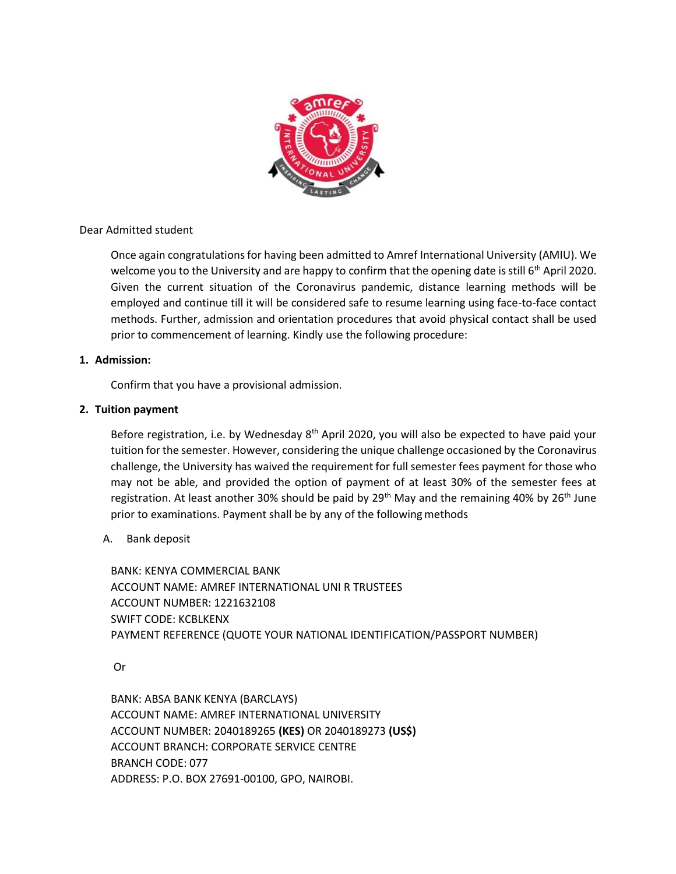

Dear Admitted student

Once again congratulations for having been admitted to Amref International University (AMIU). We welcome you to the University and are happy to confirm that the opening date is still 6<sup>th</sup> April 2020. Given the current situation of the Coronavirus pandemic, distance learning methods will be employed and continue till it will be considered safe to resume learning using face-to-face contact methods. Further, admission and orientation procedures that avoid physical contact shall be used prior to commencement of learning. Kindly use the following procedure:

# **1. Admission:**

Confirm that you have a provisional admission.

# **2. Tuition payment**

Before registration, i.e. by Wednesday 8<sup>th</sup> April 2020, you will also be expected to have paid your tuition forthe semester. However, considering the unique challenge occasioned by the Coronavirus challenge, the University has waived the requirement for full semester fees payment for those who may not be able, and provided the option of payment of at least 30% of the semester fees at registration. At least another 30% should be paid by 29<sup>th</sup> May and the remaining 40% by 26<sup>th</sup> June prior to examinations. Payment shall be by any of the following methods

# A. Bank deposit

BANK: KENYA COMMERCIAL BANK ACCOUNT NAME: AMREF INTERNATIONAL UNI R TRUSTEES ACCOUNT NUMBER: 1221632108 SWIFT CODE: KCBLKENX PAYMENT REFERENCE (QUOTE YOUR NATIONAL IDENTIFICATION/PASSPORT NUMBER)

Or

BANK: ABSA BANK KENYA (BARCLAYS) ACCOUNT NAME: AMREF INTERNATIONAL UNIVERSITY ACCOUNT NUMBER: 2040189265 **(KES)** OR 2040189273 **(US\$)**  ACCOUNT BRANCH: CORPORATE SERVICE CENTRE BRANCH CODE: 077 ADDRESS: P.O. BOX 27691-00100, GPO, NAIROBI.